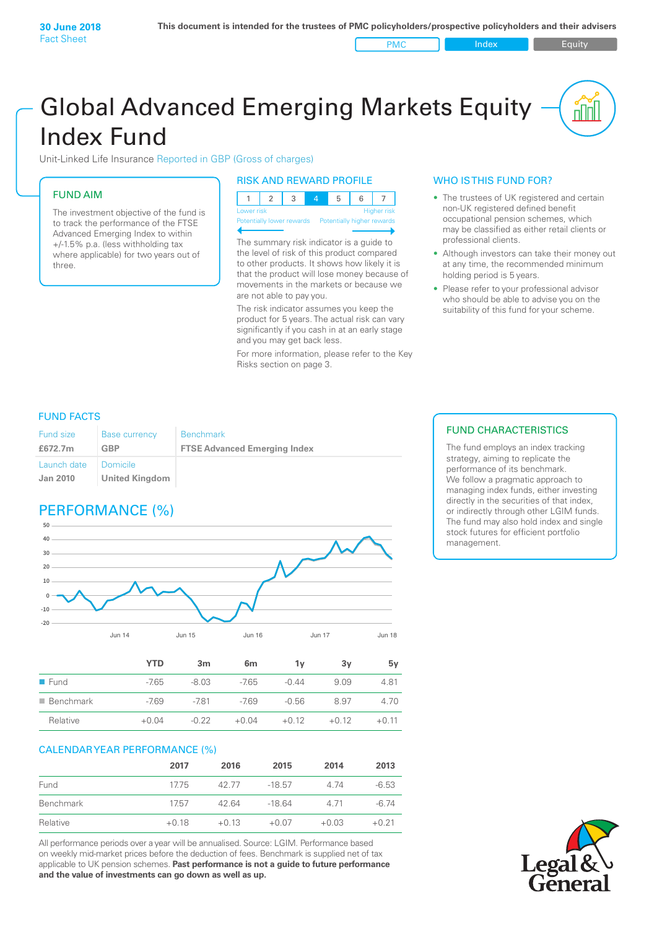PMC Index PMC Equity

# Global Advanced Emerging Markets Equity Index Fund

Unit-Linked Life Insurance Reported in GBP (Gross of charges)

### FUND AIM

The investment objective of the fund is to track the performance of the FTSE Advanced Emerging Index to within +/‑1.5% p.a. (less withholding tax where applicable) for two years out of three.

#### RISK AND REWARD PROFILE

| Lower risk |  |  | <b>Higher risk</b> |
|------------|--|--|--------------------|

ntially lower rewards

The summary risk indicator is a guide to the level of risk of this product compared to other products. It shows how likely it is that the product will lose money because of movements in the markets or because we are not able to pay you.

The risk indicator assumes you keep the product for 5 years. The actual risk can vary significantly if you cash in at an early stage and you may get back less.

For more information, please refer to the Key Risks section on page 3.

### WHO IS THIS FUND FOR?

- The trustees of UK registered and certain non-UK registered defined benefit occupational pension schemes, which may be classified as either retail clients or professional clients.
- Although investors can take their money out at any time, the recommended minimum holding period is 5 years.
- Please refer to your professional advisor who should be able to advise you on the suitability of this fund for your scheme.

#### FUND FACTS

| <b>Fund size</b>               | <b>Base currency</b>         | <b>Benchmark</b>                    |
|--------------------------------|------------------------------|-------------------------------------|
| £672.7m                        | GBP                          | <b>FTSE Advanced Emerging Index</b> |
| Launch date<br><b>Jan 2010</b> | ⊟ Domicile<br>United Kingdom |                                     |

## PERFORMANCE (%)



|                          | <b>YTD</b> | 3m      | 6 <sub>m</sub> | 1v      | 3v      | 5۷      |
|--------------------------|------------|---------|----------------|---------|---------|---------|
| $\blacksquare$ Fund      | $-7.65$    | $-8.03$ | $-7.65$        | $-0.44$ | 9.09    | 4.81    |
| $\blacksquare$ Benchmark | $-7.69$    | $-781$  | $-769$         | $-0.56$ | 8.97    | 4.70    |
| Relative                 | $+0.04$    | $-0.22$ | $+0.04$        | $+0.12$ | $+0.12$ | $+0.11$ |

#### CALENDAR YEAR PERFORMANCE (%)

|           | 2017    | 2016    | 2015     | 2014    | 2013    |
|-----------|---------|---------|----------|---------|---------|
| Fund      | 17.75   | 42.77   | $-18.57$ | 4 74    | $-6.53$ |
| Benchmark | 1757    | 42.64   | -18.64   | 4 7 1   | -6.74   |
| Relative  | $+0.18$ | $+0.13$ | $+0.07$  | $+0.03$ | $+0.21$ |

All performance periods over a year will be annualised. Source: LGIM. Performance based on weekly mid-market prices before the deduction of fees. Benchmark is supplied net of tax applicable to UK pension schemes. **Past performance is not a guide to future performance and the value of investments can go down as well as up.**

#### FUND CHARACTERISTICS

The fund employs an index tracking strategy, aiming to replicate the performance of its benchmark. We follow a pragmatic approach to managing index funds, either investing directly in the securities of that index, or indirectly through other LGIM funds. The fund may also hold index and single stock futures for efficient portfolio management.

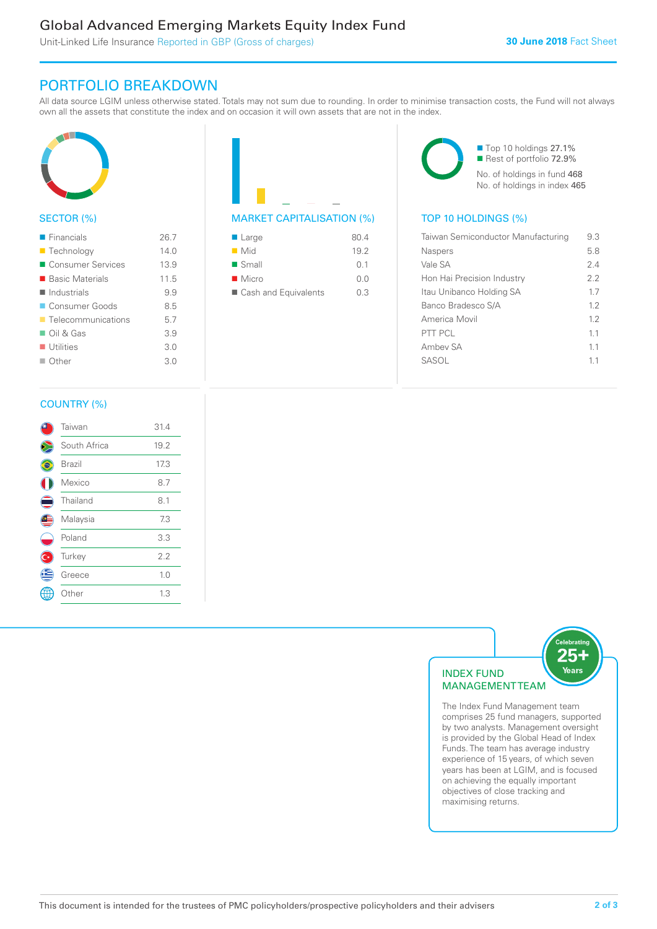### Global Advanced Emerging Markets Equity Index Fund

Unit-Linked Life Insurance Reported in GBP (Gross of charges)

### PORTFOLIO BREAKDOWN

All data source LGIM unless otherwise stated. Totals may not sum due to rounding. In order to minimise transaction costs, the Fund will not always own all the assets that constitute the index and on occasion it will own assets that are not in the index.



#### SECTOR (%)

| $\blacksquare$ Financials         | 26.7 |
|-----------------------------------|------|
| ■ Technology                      | 140  |
| ■ Consumer Services               | 13.9 |
| ■ Basic Materials                 | 11.5 |
| $\blacksquare$ Industrials        | 9.9  |
| Consumer Goods                    | 8.5  |
| $\blacksquare$ Telecommunications | 5.7  |
| $\Box$ Oil & Gas                  | 3.9  |
| $\blacksquare$ Utilities          | 3.0  |
| $\Box$ Other                      | 3.0  |
|                                   |      |



| $\blacksquare$ Large | 80.4 |
|----------------------|------|
| $\blacksquare$ Mid   | 19.2 |
| $\blacksquare$ Small | 01   |
| $\blacksquare$ Micro | 0.0  |
| Cash and Equivalents | 03   |

■ Top 10 holdings 27.1% Rest of portfolio 72.9% No. of holdings in fund 468 No. of holdings in index 465

| Taiwan Semiconductor Manufacturing | 9.3 |
|------------------------------------|-----|
| <b>Naspers</b>                     | 5.8 |
| Vale SA                            | 24  |
| Hon Hai Precision Industry         | 22  |
| Itau Unibanco Holding SA           | 17  |
| Banco Bradesco S/A                 | 12  |
| America Movil                      | 12  |
| PTT PCL                            | 11  |
| Ambey SA                           | 11  |
| SASOL                              | 11  |
|                                    |     |

#### COUNTRY (%)

|   | Taiwan       | 31.4 |  |
|---|--------------|------|--|
|   | South Africa | 19.2 |  |
|   | Brazil       | 17.3 |  |
|   | Mexico       | 8.7  |  |
|   | Thailand     | 8.1  |  |
|   | Malaysia     | 7.3  |  |
|   | Poland       | 3.3  |  |
|   | Turkey       | 2.2  |  |
| Œ | Greece       | 1.0  |  |
|   | Other        | 1.3  |  |
|   |              |      |  |



comprises 25 fund managers, supported by two analysts. Management oversight is provided by the Global Head of Index Funds. The team has average industry experience of 15 years, of which seven years has been at LGIM, and is focused on achieving the equally important objectives of close tracking and maximising returns.